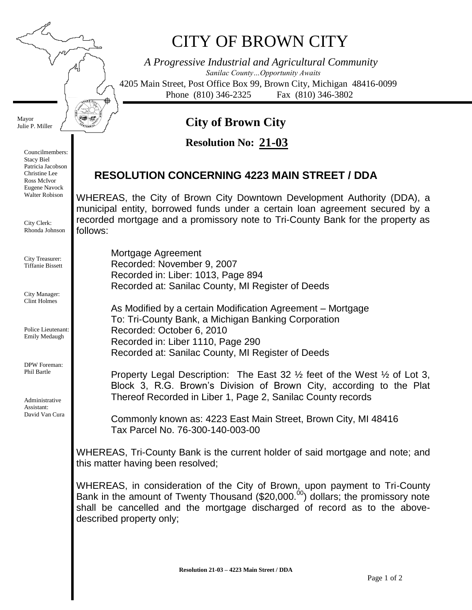## CITY OF BROWN CITY

*A Progressive Industrial and Agricultural Community Sanilac County…Opportunity Awaits* 4205 Main Street, Post Office Box 99, Brown City, Michigan 48416-0099 Phone (810) 346-2325 Fax (810) 346-3802

## **City of Brown City**

**21-03 Resolution No:**

## **RESOLUTION CONCERNING 4223 MAIN STREET / DDA**

WHEREAS, the City of Brown City Downtown Development Authority (DDA), a municipal entity, borrowed funds under a certain loan agreement secured by a recorded mortgage and a promissory note to Tri-County Bank for the property as follows:

Mortgage Agreement Recorded: November 9, 2007 Recorded in: Liber: 1013, Page 894 Recorded at: Sanilac County, MI Register of Deeds As Modified by a certain Modification Agreement – Mortgage To: Tri-County Bank, a Michigan Banking Corporation Recorded: October 6, 2010 Recorded in: Liber 1110, Page 290 Recorded at: Sanilac County, MI Register of Deeds

Property Legal Description: The East 32 ½ feet of the West ½ of Lot 3, Block 3, R.G. Brown's Division of Brown City, according to the Plat Thereof Recorded in Liber 1, Page 2, Sanilac County records

Commonly known as: 4223 East Main Street, Brown City, MI 48416 Tax Parcel No. 76-300-140-003-00

WHEREAS, Tri-County Bank is the current holder of said mortgage and note; and this matter having been resolved;

WHEREAS, in consideration of the City of Brown, upon payment to Tri-County Bank in the amount of Twenty Thousand (\$20,000. $^{00}$ ) dollars; the promissory note shall be cancelled and the mortgage discharged of record as to the abovedescribed property only;

Mayor Julie P. Miller ₱

Councilmembers: Stacy Biel Patricia Jacobson Christine Lee Ross McIvor Eugene Navock Walter Robison

City Clerk: Rhonda Johnson

City Treasurer: Tiffanie Bissett

City Manager: Clint Holmes

Police Lieutenant: Emily Medaugh

DPW Foreman: Phil Bartle

Administrative Assistant: David Van Cura